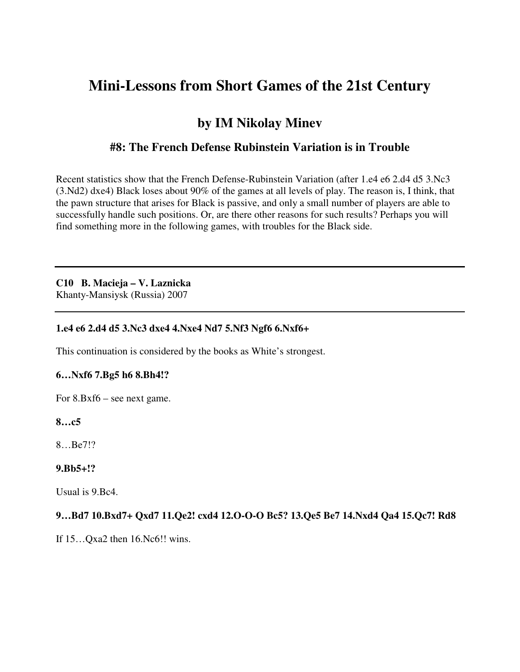# **Mini-Lessons from Short Games of the 21st Century**

## **by IM Nikolay Minev**

## **#8: The French Defense Rubinstein Variation is in Trouble**

Recent statistics show that the French Defense-Rubinstein Variation (after 1.e4 e6 2.d4 d5 3.Nc3 (3.Nd2) dxe4) Black loses about 90% of the games at all levels of play. The reason is, I think, that the pawn structure that arises for Black is passive, and only a small number of players are able to successfully handle such positions. Or, are there other reasons for such results? Perhaps you will find something more in the following games, with troubles for the Black side.

#### **C10 B. Macieja – V. Laznicka**

Khanty-Mansiysk (Russia) 2007

#### **1.e4 e6 2.d4 d5 3.Nc3 dxe4 4.Nxe4 Nd7 5.Nf3 Ngf6 6.Nxf6+**

This continuation is considered by the books as White's strongest.

#### **6…Nxf6 7.Bg5 h6 8.Bh4!?**

For 8.Bxf6 – see next game.

## **8…c5**

8…Be7!?

## **9.Bb5+!?**

Usual is 9.Bc4.

## **9…Bd7 10.Bxd7+ Qxd7 11.Qe2! cxd4 12.O-O-O Bc5? 13.Qe5 Be7 14.Nxd4 Qa4 15.Qc7! Rd8**

If 15…Qxa2 then 16.Nc6!! wins.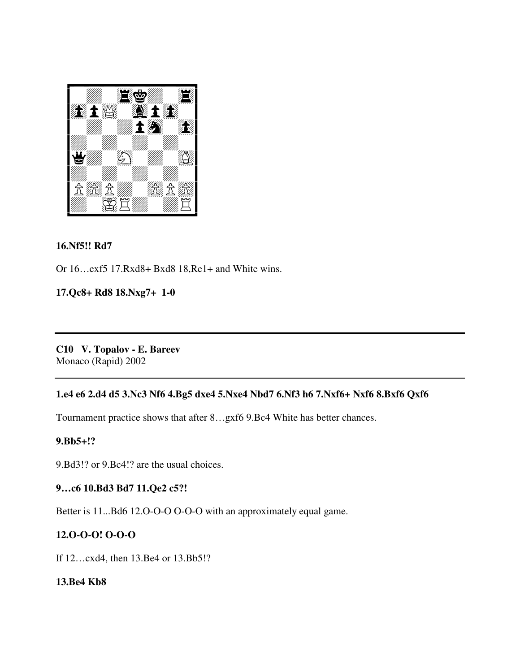

#### **16.Nf5!! Rd7**

Or 16…exf5 17.Rxd8+ Bxd8 18,Re1+ and White wins.

## **17.Qc8+ Rd8 18.Nxg7+ 1-0**

**C10 V. Topalov - E. Bareev**  Monaco (Rapid) 2002

## **1.e4 e6 2.d4 d5 3.Nc3 Nf6 4.Bg5 dxe4 5.Nxe4 Nbd7 6.Nf3 h6 7.Nxf6+ Nxf6 8.Bxf6 Qxf6**

Tournament practice shows that after 8…gxf6 9.Bc4 White has better chances.

#### **9.Bb5+!?**

9.Bd3!? or 9.Bc4!? are the usual choices.

#### **9…c6 10.Bd3 Bd7 11.Qe2 c5?!**

Better is 11...Bd6 12.O-O-O O-O-O with an approximately equal game.

#### **12.O-O-O! O-O-O**

If 12…cxd4, then 13.Be4 or 13.Bb5!?

#### **13.Be4 Kb8**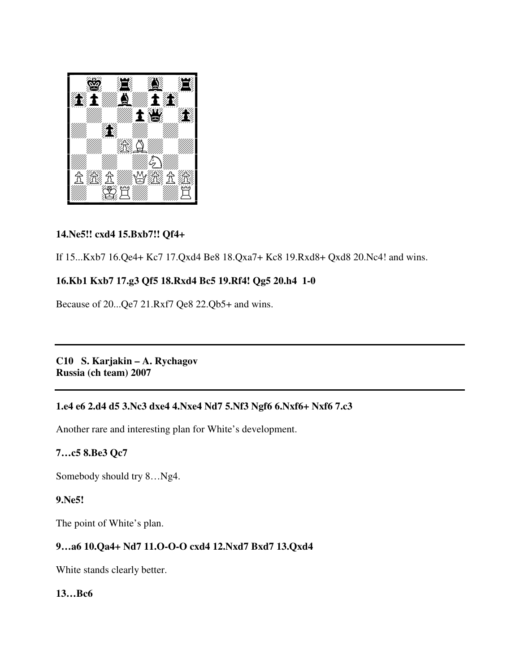

## **14.Ne5!! cxd4 15.Bxb7!! Qf4+**

If 15...Kxb7 16.Qe4+ Kc7 17.Qxd4 Be8 18.Qxa7+ Kc8 19.Rxd8+ Qxd8 20.Nc4! and wins.

## **16.Kb1 Kxb7 17.g3 Qf5 18.Rxd4 Bc5 19.Rf4! Qg5 20.h4 1-0**

Because of 20...Qe7 21.Rxf7 Qe8 22.Qb5+ and wins.

**C10 S. Karjakin – A. Rychagov Russia (ch team) 2007** 

## **1.e4 e6 2.d4 d5 3.Nc3 dxe4 4.Nxe4 Nd7 5.Nf3 Ngf6 6.Nxf6+ Nxf6 7.c3**

Another rare and interesting plan for White's development.

## **7…c5 8.Be3 Qc7**

Somebody should try 8…Ng4.

## **9.Ne5!**

The point of White's plan.

## **9…a6 10.Qa4+ Nd7 11.O-O-O cxd4 12.Nxd7 Bxd7 13.Qxd4**

White stands clearly better.

## **13…Bc6**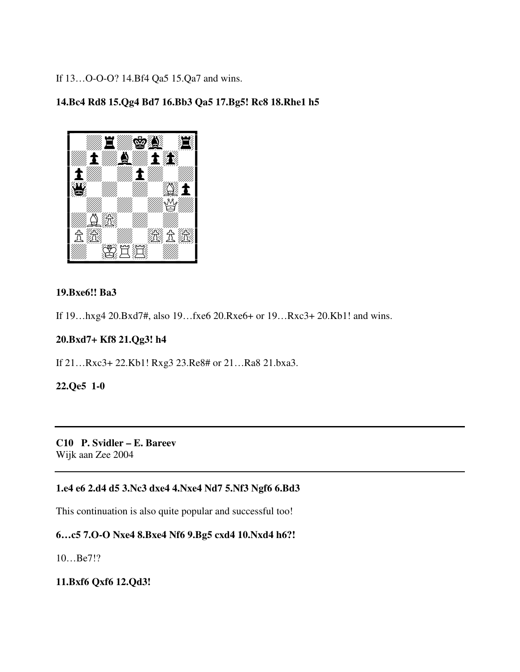If 13…O-O-O? 14.Bf4 Qa5 15.Qa7 and wins.

## **14.Bc4 Rd8 15.Qg4 Bd7 16.Bb3 Qa5 17.Bg5! Rc8 18.Rhe1 h5**



#### **19.Bxe6!! Ba3**

If 19…hxg4 20.Bxd7#, also 19…fxe6 20.Rxe6+ or 19…Rxc3+ 20.Kb1! and wins.

## **20.Bxd7+ Kf8 21.Qg3! h4**

If 21…Rxc3+ 22.Kb1! Rxg3 23.Re8# or 21…Ra8 21.bxa3.

#### **22.Qe5 1-0**

**C10 P. Svidler – E. Bareev**  Wijk aan Zee 2004

## **1.e4 e6 2.d4 d5 3.Nc3 dxe4 4.Nxe4 Nd7 5.Nf3 Ngf6 6.Bd3**

This continuation is also quite popular and successful too!

## **6…c5 7.O-O Nxe4 8.Bxe4 Nf6 9.Bg5 cxd4 10.Nxd4 h6?!**

10…Be7!?

## **11.Bxf6 Qxf6 12.Qd3!**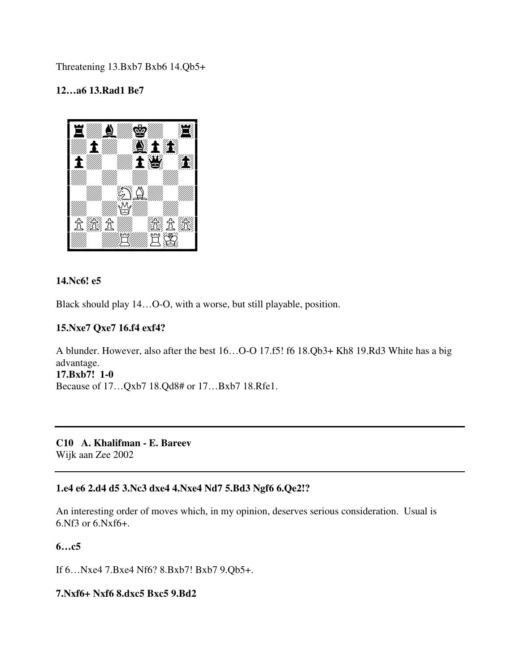Threatening 13.Bxb7 Bxb6 14.Qb5+

## **12…a6 13.Rad1 Be7**



## **14.Nc6! e5**

Black should play 14…O-O, with a worse, but still playable, position.

#### **15.Nxe7 Qxe7 16.f4 exf4?**

A blunder. However, also after the best 16…O-O 17.f5! f6 18.Qb3+ Kh8 19.Rd3 White has a big advantage. **17.Bxb7! 1-0** 

Because of 17…Qxb7 18.Qd8# or 17…Bxb7 18.Rfe1.

**C10 A. Khalifman - E. Bareev**  Wijk aan Zee 2002

## **1.e4 e6 2.d4 d5 3.Nc3 dxe4 4.Nxe4 Nd7 5.Bd3 Ngf6 6.Qe2!?**

An interesting order of moves which, in my opinion, deserves serious consideration. Usual is 6.Nf3 or 6.Nxf6+.

**6…c5** 

If 6…Nxe4 7.Bxe4 Nf6? 8.Bxb7! Bxb7 9.Qb5+.

#### **7.Nxf6+ Nxf6 8.dxc5 Bxc5 9.Bd2**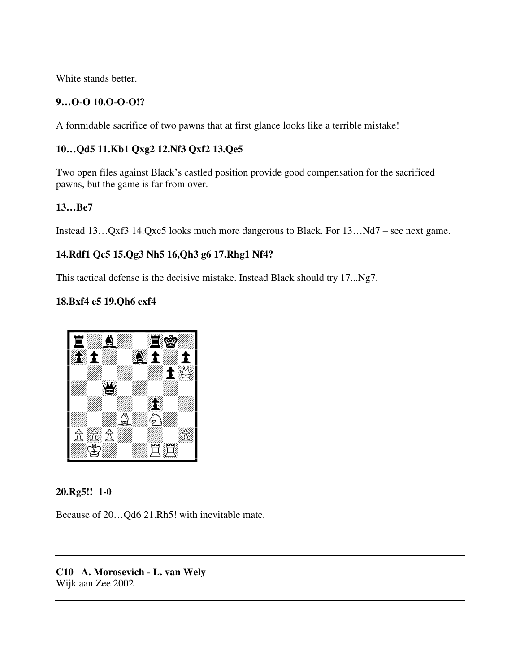White stands better.

## **9…O-O 10.O-O-O!?**

A formidable sacrifice of two pawns that at first glance looks like a terrible mistake!

## **10…Qd5 11.Kb1 Qxg2 12.Nf3 Qxf2 13.Qe5**

Two open files against Black's castled position provide good compensation for the sacrificed pawns, but the game is far from over.

## **13…Be7**

Instead 13…Qxf3 14.Qxc5 looks much more dangerous to Black. For 13…Nd7 – see next game.

## **14.Rdf1 Qc5 15.Qg3 Nh5 16,Qh3 g6 17.Rhg1 Nf4?**

This tactical defense is the decisive mistake. Instead Black should try 17...Ng7.

## **18.Bxf4 e5 19.Qh6 exf4**



## **20.Rg5!! 1-0**

Because of 20…Qd6 21.Rh5! with inevitable mate.

**C10 A. Morosevich - L. van Wely**  Wijk aan Zee 2002